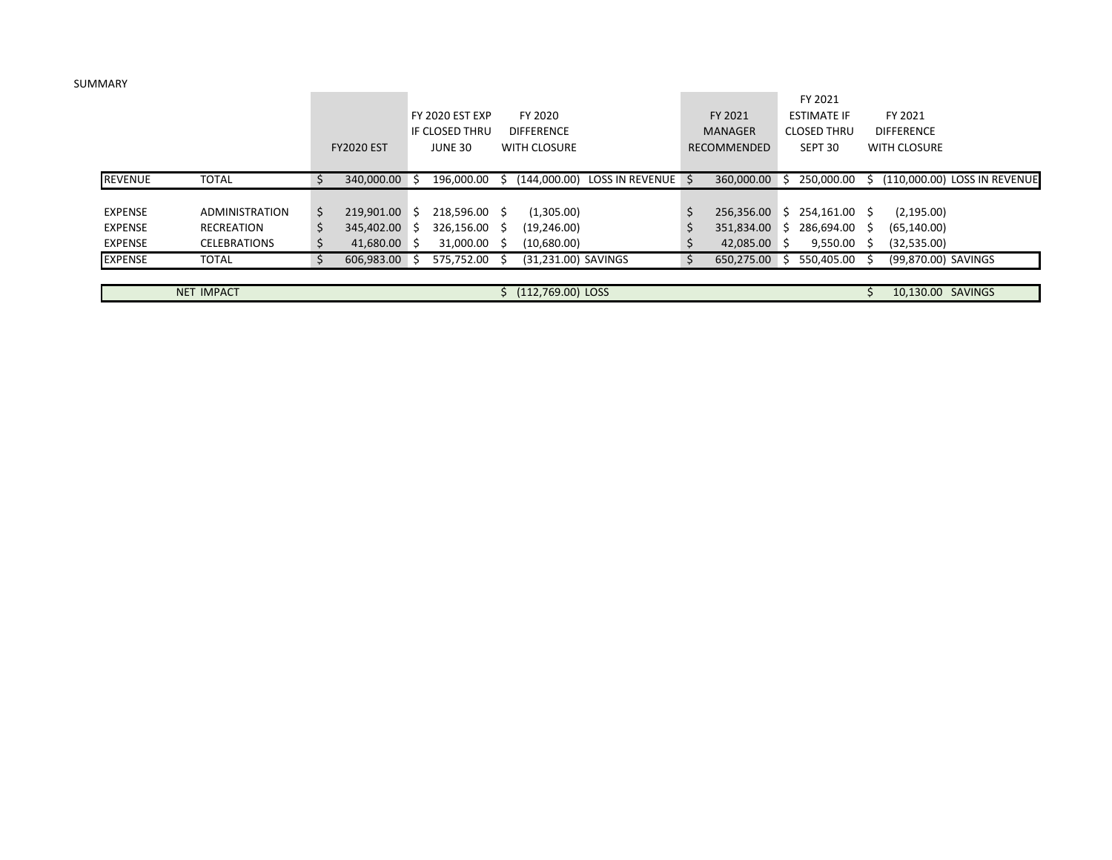SUMMARY

|                |                     |   |                   |              |                 |    |                     |                    |                |    | FY 2021            |                     |                              |
|----------------|---------------------|---|-------------------|--------------|-----------------|----|---------------------|--------------------|----------------|----|--------------------|---------------------|------------------------------|
|                |                     |   |                   |              | FY 2020 EST EXP |    | FY 2020             |                    | FY 2021        |    | <b>ESTIMATE IF</b> | FY 2021             |                              |
|                |                     |   |                   |              | IF CLOSED THRU  |    | <b>DIFFERENCE</b>   |                    | <b>MANAGER</b> |    | <b>CLOSED THRU</b> | <b>DIFFERENCE</b>   |                              |
|                |                     |   | <b>FY2020 EST</b> |              | <b>JUNE 30</b>  |    | WITH CLOSURE        |                    | RECOMMENDED    |    | SEPT 30            | WITH CLOSURE        |                              |
|                |                     |   |                   |              |                 |    |                     |                    |                |    |                    |                     |                              |
| <b>REVENUE</b> | <b>TOTAL</b>        |   | 340.000.00        | -5           | 196,000.00      | S. | (144.000.00)        | LOSS IN REVENUE \$ | 360.000.00     | S. | 250.000.00         |                     | (110.000.00) LOSS IN REVENUE |
|                |                     |   |                   |              |                 |    |                     |                    |                |    |                    |                     |                              |
| <b>EXPENSE</b> | ADMINISTRATION      | S | 219.901.00        | S.           | 218,596.00 \$   |    | (1,305.00)          |                    | 256,356.00     | S. | 254,161.00 \$      | (2, 195.00)         |                              |
| <b>EXPENSE</b> | RECREATION          |   | 345.402.00        | <sub>S</sub> | 326,156.00      | -S | (19, 246.00)        |                    | 351.834.00     | S. | 286,694.00         | (65, 140.00)        |                              |
| <b>EXPENSE</b> | <b>CELEBRATIONS</b> |   | 41,680.00         | -S           | 31,000.00       | -S | (10,680.00)         |                    | 42,085.00      | -S | 9,550.00           | (32,535.00)         |                              |
| <b>EXPENSE</b> | <b>TOTAL</b>        |   | 606.983.00        |              | 575,752.00      |    | (31.231.00) SAVINGS |                    | 650.275.00     |    | 550.405.00         | (99.870.00) SAVINGS |                              |
|                |                     |   |                   |              |                 |    |                     |                    |                |    |                    |                     |                              |
|                | <b>NET IMPACT</b>   |   |                   |              |                 |    | (112,769.00) LOSS   |                    |                |    |                    | 10.130.00 SAVINGS   |                              |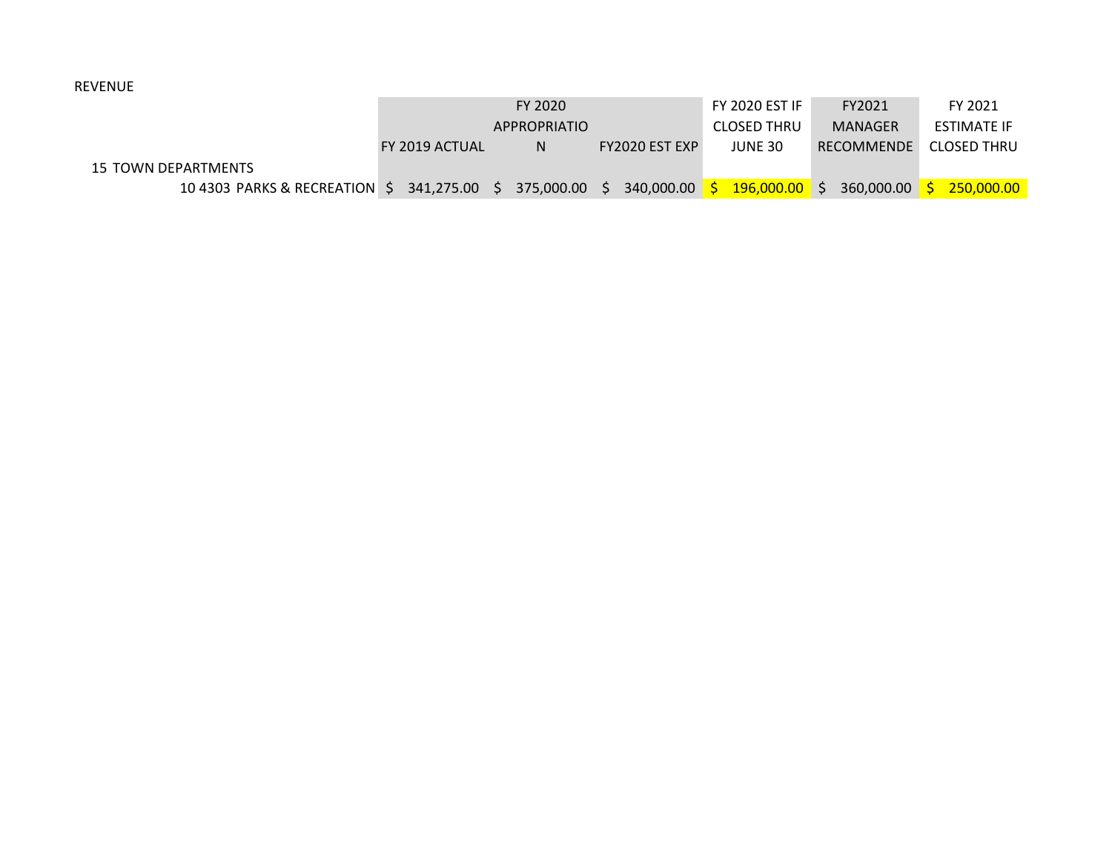## REVENUE

|                                                        |                | FY 2020             |                       | <b>FY 2020 EST IF</b> | FY2021         | FY 2021     |
|--------------------------------------------------------|----------------|---------------------|-----------------------|-----------------------|----------------|-------------|
|                                                        |                | <b>APPROPRIATIO</b> |                       | <b>CLOSED THRU</b>    | <b>MANAGER</b> | ESTIMATE IF |
|                                                        | FY 2019 ACTUAL | N                   | <b>FY2020 EST EXP</b> | JUNE 30               | RECOMMENDE     | CLOSED THRU |
| 15 TOWN DEPARTMENTS                                    |                |                     |                       |                       |                |             |
| 10 4303 PARKS & RECREATION \$ 341,275.00 \$ 375,000.00 |                |                     | 340.000.00<br>S.      | $196,000.00$ \$       | 360,000.00     | 250,000,00  |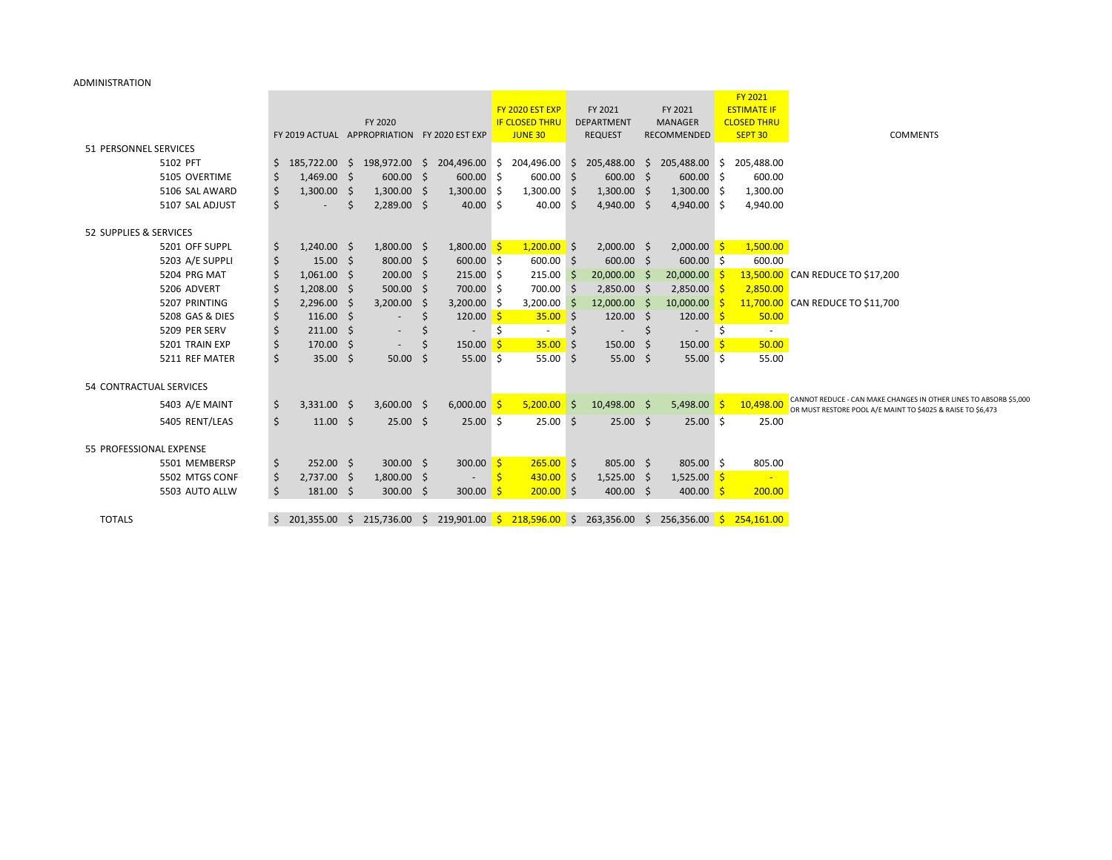## ADMINISTRATION

|                                   |     |                                              |            |               |              |                     |    |                                         |                              |    |                                                                                                             |   | <b>FY 2021</b>                |                                                                                                                                  |
|-----------------------------------|-----|----------------------------------------------|------------|---------------|--------------|---------------------|----|-----------------------------------------|------------------------------|----|-------------------------------------------------------------------------------------------------------------|---|-------------------------------|----------------------------------------------------------------------------------------------------------------------------------|
|                                   |     |                                              |            |               |              |                     |    | FY 2020 EST EXP                         | FY 2021                      |    | FY 2021                                                                                                     |   | <b>ESTIMATE IF</b>            |                                                                                                                                  |
|                                   |     | FY 2019 ACTUAL APPROPRIATION FY 2020 EST EXP |            | FY 2020       |              |                     |    | <b>IF CLOSED THRU</b><br><b>JUNE 30</b> | DEPARTMENT<br><b>REQUEST</b> |    | <b>MANAGER</b><br>RECOMMENDED                                                                               |   | <b>CLOSED THRU</b><br>SEPT 30 | <b>COMMENTS</b>                                                                                                                  |
|                                   |     |                                              |            |               |              |                     |    |                                         |                              |    |                                                                                                             |   |                               |                                                                                                                                  |
| 51 PERSONNEL SERVICES<br>5102 PFT |     |                                              |            |               |              |                     |    |                                         |                              |    |                                                                                                             |   | 205,488.00                    |                                                                                                                                  |
| 5105 OVERTIME                     | Ş.  | 1,469.00                                     |            | $600.00$ \$   |              | 600.00 \$           |    | 600.00 \$                               | 600.00 \$                    |    | 185,722.00 \$ 198,972.00 \$ 204,496.00 \$ 204,496.00 \$ 205,488.00 \$ 205,488.00 \$<br>600.00 \$            |   | 600.00                        |                                                                                                                                  |
| 5106 SAL AWARD                    | \$  | 1,300.00                                     | - S<br>- Ś | 1,300.00      |              | $1,300.00$ \$       |    | $1,300.00$ \$                           | $1,300.00$ \$                |    | $1,300.00$ \$                                                                                               |   |                               |                                                                                                                                  |
|                                   | \$, |                                              |            |               | <sub>S</sub> |                     |    |                                         |                              |    |                                                                                                             |   | 1,300.00                      |                                                                                                                                  |
| 5107 SAL ADJUST                   | \$  |                                              | Ŝ          | $2,289.00$ \$ |              | $40.00$ \$          |    | 40.00 \$                                | 4,940.00 \$                  |    | 4,940.00 \$                                                                                                 |   | 4,940.00                      |                                                                                                                                  |
| 52 SUPPLIES & SERVICES            |     |                                              |            |               |              |                     |    |                                         |                              |    |                                                                                                             |   |                               |                                                                                                                                  |
| 5201 OFF SUPPL                    | \$, | $1,240.00$ \$                                |            | $1,800.00$ \$ |              | $1,800.00$ \$       |    | $1,200.00$ \$                           | $2,000.00$ \$                |    | $2,000.00$ \$                                                                                               |   | 1,500.00                      |                                                                                                                                  |
| 5203 A/E SUPPLI                   | \$  | 15.00                                        | -Ŝ         | $800.00$ \$   |              | $600.00$ \$         |    | $600.00$ \$                             | $600.00$ \$                  |    | 600.00 \$                                                                                                   |   | 600.00                        |                                                                                                                                  |
| 5204 PRG MAT                      |     | 1,061.00                                     | -\$        | $200.00$ \$   |              | $215.00$ \$         |    | $215.00$ \$                             | 20,000.00 \$                 |    | $20,000.00$ \$                                                                                              |   |                               | 13,500.00 CAN REDUCE TO \$17,200                                                                                                 |
| 5206 ADVERT                       | -\$ | 1,208.00                                     | -\$        | $500.00$ \$   |              | 700.00 \$           |    | 700.00 \$                               | $2,850.00$ \$                |    | $2,850.00$ \$                                                                                               |   | 2,850.00                      |                                                                                                                                  |
| 5207 PRINTING                     | \$  | 2,296.00                                     | -S         | 3,200.00      | -S           | 3,200.00            |    | 3,200.00                                | 12,000.00 \$                 |    | 10,000.00                                                                                                   |   |                               | 11,700.00 CAN REDUCE TO \$11,700                                                                                                 |
| 5208 GAS & DIES                   | \$, | 116.00                                       | -Ŝ         |               | S            | 120.00 \$           |    | $35.00$ \$                              | $120.00$ \$                  |    | 120.00 <sup>o</sup>                                                                                         |   | 50.00                         |                                                                                                                                  |
| 5209 PER SERV                     | \$  | 211.00                                       | - Ś        |               |              |                     |    |                                         |                              |    |                                                                                                             | Ŝ |                               |                                                                                                                                  |
| 5201 TRAIN EXP                    |     | 170.00                                       | -Ŝ         |               |              | 150.00 <sup>5</sup> |    | $35.00$ \$                              | 150.00                       | -S | 150.00 <sup>o</sup>                                                                                         |   | 50.00                         |                                                                                                                                  |
| 5211 REF MATER                    | \$  | 35.00                                        | -\$        | 50.00         | S            | 55.00%              |    | 55.00%                                  | 55.00 \$                     |    | $55.00$ \$                                                                                                  |   | 55.00                         |                                                                                                                                  |
|                                   |     |                                              |            |               |              |                     |    |                                         |                              |    |                                                                                                             |   |                               |                                                                                                                                  |
| 54 CONTRACTUAL SERVICES           |     |                                              |            |               |              |                     |    |                                         |                              |    |                                                                                                             |   |                               |                                                                                                                                  |
| 5403 A/E MAINT                    | \$  | $3,331.00$ \$                                |            | $3,600.00$ \$ |              | $6,000.00$ \$       |    | $5,200.00$ \$                           | 10,498.00 \$                 |    | 5,498.00                                                                                                    |   | 10,498.00                     | CANNOT REDUCE - CAN MAKE CHANGES IN OTHER LINES TO ABSORB \$5,000<br>OR MUST RESTORE POOL A/E MAINT TO \$4025 & RAISE TO \$6,473 |
| 5405 RENT/LEAS                    | \$  | $11.00 \pm 5$                                |            | $25.00$ \$    |              | $25.00 \pm 5$       |    | $25.00 \quad $$                         | $25.00$ \$                   |    | $25.00 \pm 5$                                                                                               |   | 25.00                         |                                                                                                                                  |
|                                   |     |                                              |            |               |              |                     |    |                                         |                              |    |                                                                                                             |   |                               |                                                                                                                                  |
| 55 PROFESSIONAL EXPENSE           |     |                                              |            |               |              |                     |    |                                         |                              |    |                                                                                                             |   |                               |                                                                                                                                  |
| 5501 MEMBERSP                     | -Ş  | $252.00$ \$                                  |            | $300.00$ \$   |              | 300.00 \$           |    | $265.00$ \$                             | 805.00 \$                    |    | $805.00$ \$                                                                                                 |   | 805.00                        |                                                                                                                                  |
| 5502 MTGS CONF                    | \$  | 2,737.00                                     | -S         | $1,800.00$ \$ |              | $\sim$              | -Ŝ | $430.00$ \$                             | $1,525.00$ \$                |    | $1,525.00$ \$                                                                                               |   | <b>College</b>                |                                                                                                                                  |
| 5503 AUTO ALLW                    | \$  | 181.00%                                      |            | $300.00$ \$   |              | 300.00 \$           |    | $200.00$ \$                             | 400.00 \$                    |    | 400.00 \$                                                                                                   |   | 200.00                        |                                                                                                                                  |
|                                   |     |                                              |            |               |              |                     |    |                                         |                              |    |                                                                                                             |   |                               |                                                                                                                                  |
| <b>TOTALS</b>                     | \$  |                                              |            |               |              |                     |    |                                         |                              |    | 201,355.00 \$ 215,736.00 \$ 219,901.00 <mark>\$ 218,596.00</mark> \$ 263,356.00 \$ 256,356.00 \$ 254,161.00 |   |                               |                                                                                                                                  |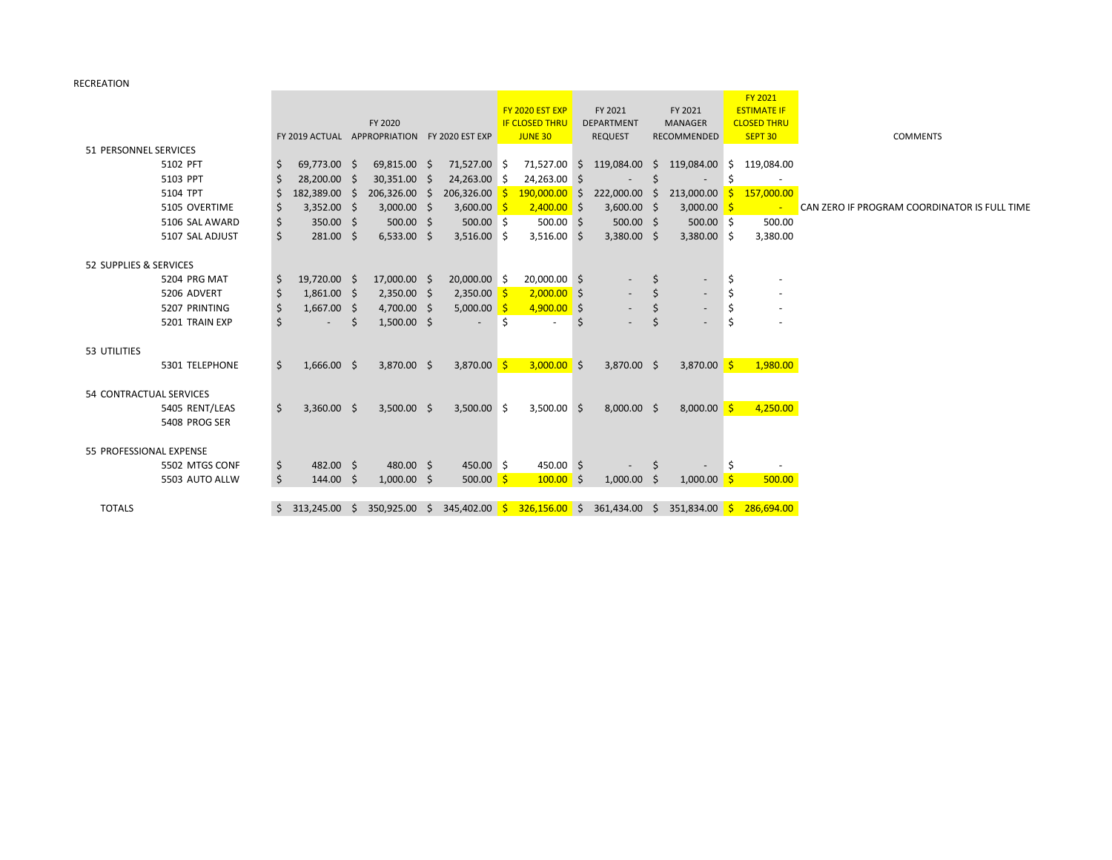RECREATION

|                         |    |                          |    |                                              |  |               |                       |                 |                   |                                                              |    |                    |                    | <b>FY 2021</b> |                                              |
|-------------------------|----|--------------------------|----|----------------------------------------------|--|---------------|-----------------------|-----------------|-------------------|--------------------------------------------------------------|----|--------------------|--------------------|----------------|----------------------------------------------|
|                         |    |                          |    |                                              |  |               | FY 2020 EST EXP       |                 | FY 2021           | FY 2021                                                      |    |                    | <b>ESTIMATE IF</b> |                |                                              |
|                         |    | FY 2020                  |    |                                              |  |               | <b>IF CLOSED THRU</b> |                 | <b>DEPARTMENT</b> | <b>MANAGER</b>                                               |    | <b>CLOSED THRU</b> |                    |                |                                              |
|                         |    |                          |    | FY 2019 ACTUAL APPROPRIATION FY 2020 EST EXP |  |               |                       | <b>JUNE 30</b>  |                   | <b>REQUEST</b>                                               |    | RECOMMENDED        |                    | SEPT 30        | <b>COMMENTS</b>                              |
| 51 PERSONNEL SERVICES   |    |                          |    |                                              |  |               |                       |                 |                   |                                                              |    |                    |                    |                |                                              |
| 5102 PFT                | -S | 69,773.00 \$             |    | 69,815.00 \$                                 |  | 71,527.00 \$  |                       | 71,527.00 \$    |                   | 119,084.00                                                   | S. | 119,084.00 \$      |                    | 119,084.00     |                                              |
| 5103 PPT                |    | 28,200.00 \$             |    | 30,351.00 \$                                 |  | 24,263.00 \$  |                       | 24,263.00 \$    |                   |                                                              |    |                    | <sup>5</sup>       |                |                                              |
| 5104 TPT                |    | 182,389.00 \$            |    | $206,326.00$ \$                              |  | 206,326.00    |                       | $190,000.00$ \$ |                   | 222,000.00                                                   | S. | 213,000.00         | S.                 | 157,000.00     |                                              |
| 5105 OVERTIME           |    | $3,352.00$ \$            |    | $3,000.00$ \$                                |  | 3,600.00      |                       | $2,400.00$ \$   |                   | $3,600.00$ \$                                                |    | 3,000.00           | -S                 | $\sim$         | CAN ZERO IF PROGRAM COORDINATOR IS FULL TIME |
| 5106 SAL AWARD          |    | 350.00 \$                |    | $500.00$ \$                                  |  | $500.00$ \$   |                       | $500.00$ \$     |                   | $500.00$ \$                                                  |    | $500.00$ \$        |                    | 500.00         |                                              |
| 5107 SAL ADJUST         | Ś  | 281.00 \$                |    | $6,533.00$ \$                                |  | $3,516.00$ \$ |                       | $3,516.00$ \$   |                   | $3,380.00$ \$                                                |    | $3,380.00$ \$      |                    | 3,380.00       |                                              |
|                         |    |                          |    |                                              |  |               |                       |                 |                   |                                                              |    |                    |                    |                |                                              |
| 52 SUPPLIES & SERVICES  |    |                          |    |                                              |  |               |                       |                 |                   |                                                              |    |                    |                    |                |                                              |
| 5204 PRG MAT            | -S | 19,720.00 \$             |    | 17,000.00 \$                                 |  | 20,000.00 \$  |                       | 20,000.00 \$    |                   |                                                              |    |                    |                    |                |                                              |
| 5206 ADVERT             |    | $1,861.00$ \$            |    | $2,350.00$ \$                                |  | $2,350.00$ \$ |                       | $2,000.00$ \$   |                   |                                                              |    |                    | -\$                |                |                                              |
| 5207 PRINTING           |    | $1,667.00$ \$            |    | $4,700.00$ \$                                |  | 5,000.00      |                       | $4,900.00$ \$   |                   |                                                              |    |                    | Ś                  |                |                                              |
| 5201 TRAIN EXP          |    | $\overline{\phantom{a}}$ | S. | $1,500.00$ \$                                |  | $\sim$        | S.                    | $\sim$          | -Ś                |                                                              |    |                    | Ś                  |                |                                              |
|                         |    |                          |    |                                              |  |               |                       |                 |                   |                                                              |    |                    |                    |                |                                              |
| 53 UTILITIES            |    |                          |    |                                              |  |               |                       |                 |                   |                                                              |    |                    |                    |                |                                              |
| 5301 TELEPHONE          | Ŝ. | $1,666.00$ \$            |    | 3,870.00 \$                                  |  | 3,870.00 \$   |                       | $3,000.00$ \$   |                   | 3,870.00 \$                                                  |    | $3,870.00$ \$      |                    | 1,980.00       |                                              |
|                         |    |                          |    |                                              |  |               |                       |                 |                   |                                                              |    |                    |                    |                |                                              |
| 54 CONTRACTUAL SERVICES |    |                          |    |                                              |  |               |                       |                 |                   |                                                              |    |                    |                    |                |                                              |
| 5405 RENT/LEAS          | Ŝ. | $3,360.00$ \$            |    | $3,500.00$ \$                                |  | $3,500.00$ \$ |                       | $3,500.00$ \$   |                   | $8,000.00$ \$                                                |    | $8,000.00$ \$      |                    | 4,250.00       |                                              |
| 5408 PROG SER           |    |                          |    |                                              |  |               |                       |                 |                   |                                                              |    |                    |                    |                |                                              |
|                         |    |                          |    |                                              |  |               |                       |                 |                   |                                                              |    |                    |                    |                |                                              |
| 55 PROFESSIONAL EXPENSE |    |                          |    |                                              |  |               |                       |                 |                   |                                                              |    |                    |                    |                |                                              |
| 5502 MTGS CONF          | -S | 482.00 \$                |    | 480.00 \$                                    |  | 450.00 \$     |                       | 450.00 \$       |                   |                                                              |    |                    |                    |                |                                              |
| 5503 AUTO ALLW          |    | $144.00 \quad $$         |    | $1,000.00$ \$                                |  | $500.00$ \$   |                       | $100.00$ \$     |                   | $1,000.00$ \$                                                |    | $1,000.00$ \$      |                    | 500.00         |                                              |
|                         |    |                          |    |                                              |  |               |                       |                 |                   |                                                              |    |                    |                    |                |                                              |
| <b>TOTALS</b>           |    | \$313,245.00\$           |    | 350,925.00 \$                                |  | 345,402.00 \$ |                       |                 |                   | $\frac{326,156.00}{\text{S}}$ \$ 361,434.00 \$ 351,834.00 \$ |    |                    |                    | 286,694.00     |                                              |